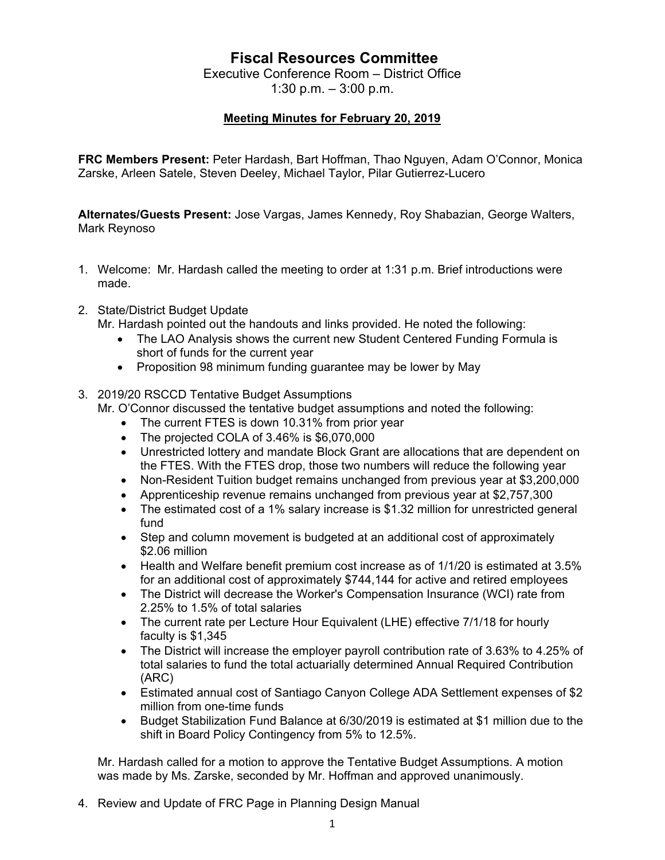## **Fiscal Resources Committee**

Executive Conference Room – District Office 1:30 p.m. – 3:00 p.m.

## **Meeting Minutes for February 20, 2019**

**FRC Members Present:** Peter Hardash, Bart Hoffman, Thao Nguyen, Adam O'Connor, Monica Zarske, Arleen Satele, Steven Deeley, Michael Taylor, Pilar Gutierrez-Lucero

**Alternates/Guests Present:** Jose Vargas, James Kennedy, Roy Shabazian, George Walters, Mark Reynoso

- 1. Welcome: Mr. Hardash called the meeting to order at 1:31 p.m. Brief introductions were made.
- 2. State/District Budget Update

Mr. Hardash pointed out the handouts and links provided. He noted the following:

- The LAO Analysis shows the current new Student Centered Funding Formula is short of funds for the current year
- Proposition 98 minimum funding guarantee may be lower by May
- 3. 2019/20 RSCCD Tentative Budget Assumptions
	- Mr. O'Connor discussed the tentative budget assumptions and noted the following:
		- The current FTES is down 10.31% from prior year
		- The projected COLA of 3.46% is \$6,070,000
		- Unrestricted lottery and mandate Block Grant are allocations that are dependent on the FTES. With the FTES drop, those two numbers will reduce the following year
		- Non-Resident Tuition budget remains unchanged from previous year at \$3,200,000
		- Apprenticeship revenue remains unchanged from previous year at \$2,757,300
		- The estimated cost of a 1% salary increase is \$1.32 million for unrestricted general fund
		- Step and column movement is budgeted at an additional cost of approximately \$2.06 million
		- Health and Welfare benefit premium cost increase as of 1/1/20 is estimated at 3.5% for an additional cost of approximately \$744,144 for active and retired employees
		- The District will decrease the Worker's Compensation Insurance (WCI) rate from 2.25% to 1.5% of total salaries
		- The current rate per Lecture Hour Equivalent (LHE) effective 7/1/18 for hourly faculty is \$1,345
		- The District will increase the employer payroll contribution rate of 3.63% to 4.25% of total salaries to fund the total actuarially determined Annual Required Contribution (ARC)
		- Estimated annual cost of Santiago Canyon College ADA Settlement expenses of \$2 million from one-time funds
		- Budget Stabilization Fund Balance at 6/30/2019 is estimated at \$1 million due to the shift in Board Policy Contingency from 5% to 12.5%.

Mr. Hardash called for a motion to approve the Tentative Budget Assumptions. A motion was made by Ms. Zarske, seconded by Mr. Hoffman and approved unanimously.

4. Review and Update of FRC Page in Planning Design Manual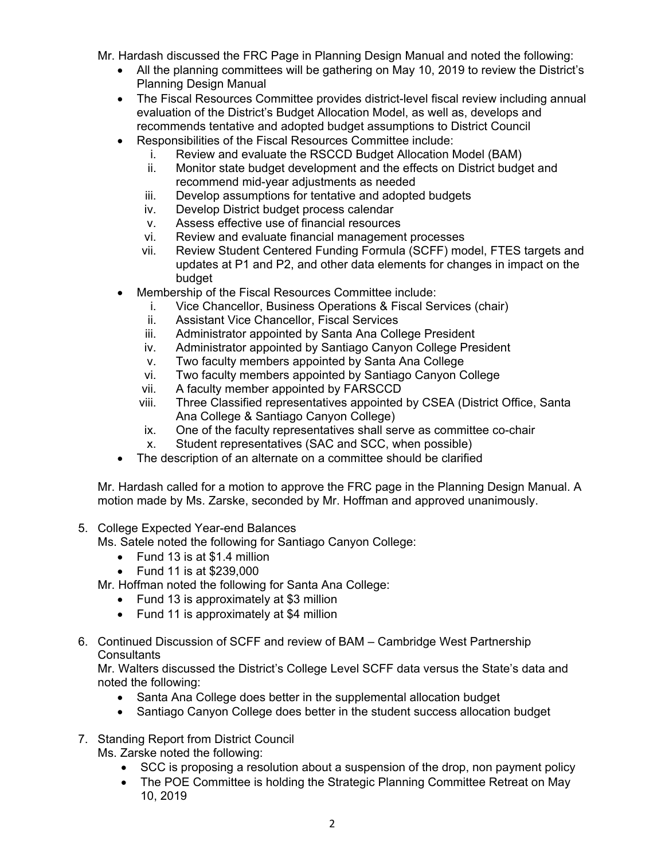Mr. Hardash discussed the FRC Page in Planning Design Manual and noted the following:

- All the planning committees will be gathering on May 10, 2019 to review the District's Planning Design Manual
- The Fiscal Resources Committee provides district-level fiscal review including annual evaluation of the District's Budget Allocation Model, as well as, develops and recommends tentative and adopted budget assumptions to District Council
- Responsibilities of the Fiscal Resources Committee include:
	- i. Review and evaluate the RSCCD Budget Allocation Model (BAM)
	- ii. Monitor state budget development and the effects on District budget and recommend mid-year adjustments as needed
	- iii. Develop assumptions for tentative and adopted budgets
	- iv. Develop District budget process calendar
	- v. Assess effective use of financial resources
	- vi. Review and evaluate financial management processes
	- vii. Review Student Centered Funding Formula (SCFF) model, FTES targets and updates at P1 and P2, and other data elements for changes in impact on the budget
- Membership of the Fiscal Resources Committee include:
	- i. Vice Chancellor, Business Operations & Fiscal Services (chair)
	- ii. Assistant Vice Chancellor, Fiscal Services
	- iii. Administrator appointed by Santa Ana College President
	- iv. Administrator appointed by Santiago Canyon College President
	- v. Two faculty members appointed by Santa Ana College
	- vi. Two faculty members appointed by Santiago Canyon College
	- vii. A faculty member appointed by FARSCCD
	- viii. Three Classified representatives appointed by CSEA (District Office, Santa Ana College & Santiago Canyon College)
	- ix. One of the faculty representatives shall serve as committee co-chair
	- x. Student representatives (SAC and SCC, when possible)
- The description of an alternate on a committee should be clarified

Mr. Hardash called for a motion to approve the FRC page in the Planning Design Manual. A motion made by Ms. Zarske, seconded by Mr. Hoffman and approved unanimously.

5. College Expected Year-end Balances

Ms. Satele noted the following for Santiago Canyon College:

- Fund 13 is at \$1.4 million
- Fund 11 is at \$239,000

Mr. Hoffman noted the following for Santa Ana College:

- Fund 13 is approximately at \$3 million
- Fund 11 is approximately at \$4 million
- 6. Continued Discussion of SCFF and review of BAM Cambridge West Partnership **Consultants**

Mr. Walters discussed the District's College Level SCFF data versus the State's data and noted the following:

- Santa Ana College does better in the supplemental allocation budget
- Santiago Canyon College does better in the student success allocation budget
- 7. Standing Report from District Council Ms. Zarske noted the following:
	- SCC is proposing a resolution about a suspension of the drop, non payment policy
	- The POE Committee is holding the Strategic Planning Committee Retreat on May 10, 2019